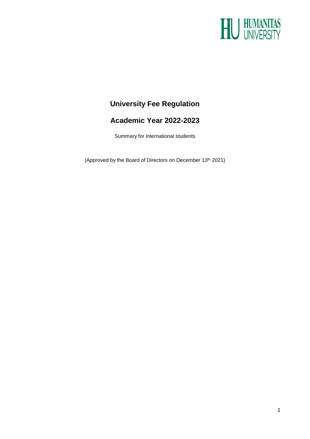

## **University Fee Regulation**

### **Academic Year 2022-2023**

Summary for international students

(Approved by the Board of Directors on December 13<sup>th</sup> 2021)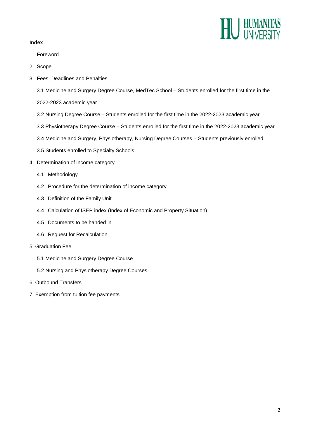# U HUMANITAS<br>UNIVERSITY

#### **Index**

- 1. Foreword
- 2. Scope
- 3. Fees, Deadlines and Penalties

3.1 Medicine and Surgery Degree Course, MedTec School – Students enrolled for the first time in the

2022-2023 academic year

- 3.2 Nursing Degree Course Students enrolled for the first time in the 2022-2023 academic year
- 3.3 Physiotherapy Degree Course Students enrolled for the first time in the 2022-2023 academic year
- 3.4 Medicine and Surgery, Physiotherapy, Nursing Degree Courses Students previously enrolled
- 3.5 Students enrolled to Specialty Schools
- 4. Determination of income category
	- 4.1 Methodology
	- 4.2 Procedure for the determination of income category
	- 4.3 Definition of the Family Unit
	- 4.4 Calculation of ISEP index (Index of Economic and Property Situation)
	- 4.5 Documents to be handed in
	- 4.6 Request for Recalculation
- 5. Graduation Fee
	- 5.1 Medicine and Surgery Degree Course
	- 5.2 Nursing and Physiotherapy Degree Courses
- 6. Outbound Transfers
- 7. Exemption from tuition fee payments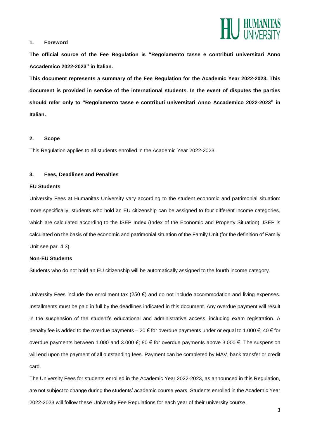

#### **1. Foreword**

**The official source of the Fee Regulation is "Regolamento tasse e contributi universitari Anno Accademico 2022-2023" in Italian.** 

**This document represents a summary of the Fee Regulation for the Academic Year 2022-2023. This document is provided in service of the international students. In the event of disputes the parties should refer only to "Regolamento tasse e contributi universitari Anno Accademico 2022-2023" in Italian.**

#### **2. Scope**

This Regulation applies to all students enrolled in the Academic Year 2022-2023.

#### **3. Fees, Deadlines and Penalties**

#### **EU Students**

University Fees at Humanitas University vary according to the student economic and patrimonial situation: more specifically, students who hold an EU citizenship can be assigned to four different income categories, which are calculated according to the ISEP Index (Index of the Economic and Property Situation). ISEP is calculated on the basis of the economic and patrimonial situation of the Family Unit (for the definition of Family Unit see par. 4.3).

#### **Non-EU Students**

Students who do not hold an EU citizenship will be automatically assigned to the fourth income category.

University Fees include the enrollment tax (250  $\epsilon$ ) and do not include accommodation and living expenses. Installments must be paid in full by the deadlines indicated in this document. Any overdue payment will result in the suspension of the student's educational and administrative access, including exam registration. A penalty fee is added to the overdue payments – 20  $\epsilon$  for overdue payments under or equal to 1.000  $\epsilon$ ; 40  $\epsilon$  for overdue payments between 1.000 and 3.000 €; 80 € for overdue payments above 3.000 €. The suspension will end upon the payment of all outstanding fees. Payment can be completed by MAV, bank transfer or credit card.

The University Fees for students enrolled in the Academic Year 2022-2023, as announced in this Regulation, are not subject to change during the students' academic course years. Students enrolled in the Academic Year 2022-2023 will follow these University Fee Regulations for each year of their university course.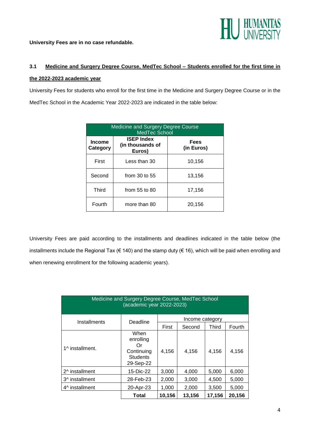

**University Fees are in no case refundable.**

## **3.1 Medicine and Surgery Degree Course, MedTec School – Students enrolled for the first time in the 2022-2023 academic year**

University Fees for students who enroll for the first time in the Medicine and Surgery Degree Course or in the MedTec School in the Academic Year 2022-2023 are indicated in the table below:

| Medicine and Surgery Degree Course<br><b>MedTec School</b> |                                                 |                           |  |  |
|------------------------------------------------------------|-------------------------------------------------|---------------------------|--|--|
| <b>Income</b><br>Category                                  | <b>ISEP Index</b><br>(in thousands of<br>Euros) | <b>Fees</b><br>(in Euros) |  |  |
| First                                                      | Less than 30                                    | 10,156                    |  |  |
| Second                                                     | from $30$ to $55$                               | 13,156                    |  |  |
| <b>Third</b>                                               | from $55$ to $80$                               | 17,156                    |  |  |
| Fourth                                                     | more than 80                                    | 20,156                    |  |  |

University Fees are paid according to the installments and deadlines indicated in the table below (the installments include the Regional Tax ( $\epsilon$  140) and the stamp duty ( $\epsilon$  16), which will be paid when enrolling and when renewing enrollment for the following academic years).

| Medicine and Surgery Degree Course, MedTec School<br>(academic year 2022-2023) |                                                                       |                 |        |        |        |  |
|--------------------------------------------------------------------------------|-----------------------------------------------------------------------|-----------------|--------|--------|--------|--|
| Installments                                                                   | Deadline                                                              | Income category |        |        |        |  |
|                                                                                |                                                                       | First           | Second | Third  | Fourth |  |
| 1^ installment.                                                                | When<br>enrolling<br>Ωr<br>Continuing<br><b>Students</b><br>29-Sep-22 | 4,156           | 4,156  | 4,156  | 4,156  |  |
| 2^ installment                                                                 | 15-Dic-22                                                             | 3,000           | 4,000  | 5,000  | 6,000  |  |
| 3^ installment                                                                 | 28-Feb-23                                                             | 2,000           | 3,000  | 4,500  | 5,000  |  |
| 4^ installment                                                                 | 20-Apr-23                                                             | 1,000           | 2,000  | 3,500  | 5.000  |  |
|                                                                                | Total                                                                 | 10,156          | 13,156 | 17,156 | 20,156 |  |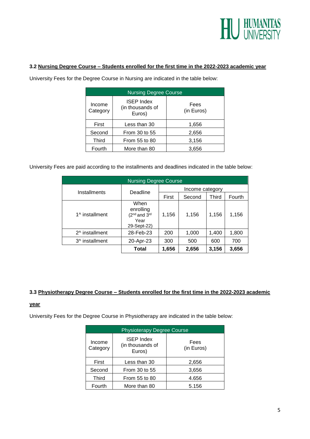

#### **3.2 Nursing Degree Course – Students enrolled for the first time in the 2022-2023 academic year**

| <b>Nursing Degree Course</b> |                                                 |                    |  |  |
|------------------------------|-------------------------------------------------|--------------------|--|--|
| Income<br>Category           | <b>ISEP Index</b><br>(in thousands of<br>Euros) | Fees<br>(in Euros) |  |  |
| First                        | Less than 30                                    | 1,656              |  |  |
| Second                       | From 30 to 55                                   | 2,656              |  |  |
| Third                        | From 55 to 80                                   | 3,156              |  |  |
| Fourth                       | More than 80                                    | 3,656              |  |  |

University Fees for the Degree Course in Nursing are indicated in the table below:

University Fees are paid according to the installments and deadlines indicated in the table below:

| <b>Nursing Degree Course</b> |                                                              |                 |        |       |        |  |
|------------------------------|--------------------------------------------------------------|-----------------|--------|-------|--------|--|
| Installments                 | Deadline                                                     | Income category |        |       |        |  |
|                              |                                                              | First           | Second | Third | Fourth |  |
| 1^ installment               | When<br>enrolling<br>$(2nd$ and $3rd$<br>Year<br>29-Sept-22) | 1,156           | 1,156  | 1,156 | 1,156  |  |
| 2^ installment               | 28-Feb-23                                                    | 200             | 1,000  | 1,400 | 1,800  |  |
| 3^ installment               | 20-Apr-23                                                    | 300             | 500    | 600   | 700    |  |
|                              | Total                                                        | 1,656           | 2,656  | 3,156 | 3,656  |  |

#### **3.3 Physiotherapy Degree Course – Students enrolled for the first time in the 2022-2023 academic**

#### **year**

University Fees for the Degree Course in Physiotherapy are indicated in the table below:

| <b>Physioterapy Degree Course</b> |                                                 |                    |  |  |
|-----------------------------------|-------------------------------------------------|--------------------|--|--|
| Income<br>Category                | <b>ISEP Index</b><br>(in thousands of<br>Euros) | Fees<br>(in Euros) |  |  |
| First                             | Less than 30                                    | 2,656              |  |  |
| Second                            | From 30 to 55                                   | 3,656              |  |  |
| Third                             | From 55 to 80                                   | 4.656              |  |  |
| Fourth                            | More than 80                                    | 5.156              |  |  |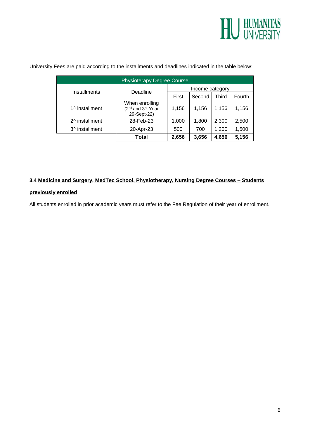

| <b>Physioterapy Degree Course</b> |                                                                            |                 |        |       |        |
|-----------------------------------|----------------------------------------------------------------------------|-----------------|--------|-------|--------|
| Installments                      | Deadline                                                                   | Income category |        |       |        |
|                                   |                                                                            | First           | Second | Third | Fourth |
| 1^ installment                    | When enrolling<br>(2 <sup>nd</sup> and 3 <sup>rd</sup> Year<br>29-Sept-22) | 1,156           | 1,156  | 1,156 | 1,156  |
| 2^ installment                    | 28-Feb-23                                                                  | 1,000           | 1,800  | 2,300 | 2,500  |
| 3^ installment                    | 20-Apr-23                                                                  | 500             | 700    | 1,200 | 1,500  |
|                                   | Total                                                                      | 2,656           | 3,656  | 4,656 | 5,156  |

University Fees are paid according to the installments and deadlines indicated in the table below:

#### **3.4 Medicine and Surgery, MedTec School, Physiotherapy, Nursing Degree Courses – Students**

#### **previously enrolled**

All students enrolled in prior academic years must refer to the Fee Regulation of their year of enrollment.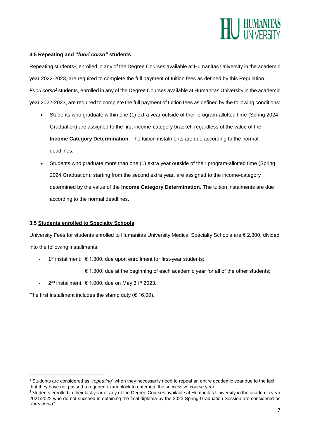

#### **3.5 Repeating and "***fuori corso"* **students**

Repeating students<sup>1</sup>, enrolled in any of the Degree Courses available at Humanitas University in the academic year 2022-2023, are required to complete the full payment of tuition fees as defined by this Regulation. *Fuori corso<sup>2</sup>* students, enrolled in any of the Degree Courses available at Humanitas University in the academic year 2022-2023, are required to complete the full payment of tuition fees as defined by the following conditions:

- Students who graduate within one (1) extra year outside of their program-allotted time (Spring 2024 Graduation) are assigned to the first income-category bracket, regardless of the value of the **Income Category Determination**. The tuition instalments are due according to the normal deadlines.
- Students who graduate more than one (1) extra year outside of their program-allotted time (Spring 2024 Graduation), starting from the second extra year, are assigned to the income-category determined by the value of the **Income Category Determination.** The tuition instalments are due according to the normal deadlines.

#### **3.5 Students enrolled to Specialty Schools**

University Fees for students enrolled to Humanitas University Medical Specialty Schools are € 2.300, divided into the following installments:

- 1 st installment: € 1.300, due upon enrollment for first-year students;
	- € 1.300, due at the beginning of each academic year for all of the other students;
- 2<sup>nd</sup> installment: € 1.000, due on May 31<sup>st</sup> 2023.

The first installment includes the stamp duty ( $\epsilon$  16,00).

1

<sup>1</sup> Students are considered as "*repeating*" when they necessarily need to repeat an entire academic year due to the fact that they have not passed a required exam block to enter into the successive course year.

<sup>&</sup>lt;sup>2</sup> Students enrolled in their last year of any of the Degree Courses available at Humanitas University in the academic year 2021/2022 who do not succeed in obtaining the final diploma by the 2023 Spring Graduation Session are considered as *"fuori corso".*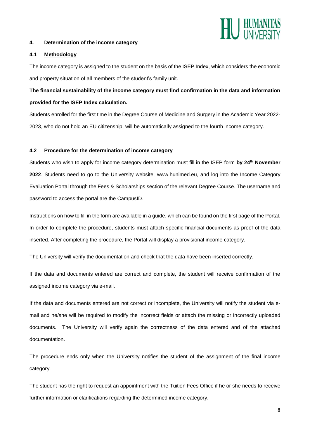

#### **4. Determination of the income category**

#### **4.1 Methodology**

The income category is assigned to the student on the basis of the ISEP Index, which considers the economic and property situation of all members of the student's family unit.

**The financial sustainability of the income category must find confirmation in the data and information provided for the ISEP Index calculation.**

Students enrolled for the first time in the Degree Course of Medicine and Surgery in the Academic Year 2022- 2023, who do not hold an EU citizenship, will be automatically assigned to the fourth income category.

#### **4.2 Procedure for the determination of income category**

Students who wish to apply for income category determination must fill in the ISEP form **by 24th November 2022**. Students need to go to the University website, [www.hunimed.eu,](http://www.hunimed.eu/) and log into the Income Category Evaluation Portal through the Fees & Scholarships section of the relevant Degree Course. The username and password to access the portal are the CampusID.

Instructions on how to fill in the form are available in a guide, which can be found on the first page of the Portal. In order to complete the procedure, students must attach specific financial documents as proof of the data inserted. After completing the procedure, the Portal will display a provisional income category.

The University will verify the documentation and check that the data have been inserted correctly.

If the data and documents entered are correct and complete, the student will receive confirmation of the assigned income category via e-mail.

If the data and documents entered are not correct or incomplete, the University will notify the student via email and he/she will be required to modify the incorrect fields or attach the missing or incorrectly uploaded documents. The University will verify again the correctness of the data entered and of the attached documentation.

The procedure ends only when the University notifies the student of the assignment of the final income category.

The student has the right to request an appointment with the Tuition Fees Office if he or she needs to receive further information or clarifications regarding the determined income category.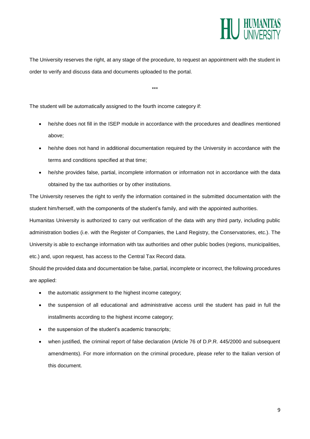

The University reserves the right, at any stage of the procedure, to request an appointment with the student in order to verify and discuss data and documents uploaded to the portal.

\*\*\*

The student will be automatically assigned to the fourth income category if:

- he/she does not fill in the ISEP module in accordance with the procedures and deadlines mentioned above;
- he/she does not hand in additional documentation required by the University in accordance with the terms and conditions specified at that time;
- he/she provides false, partial, incomplete information or information not in accordance with the data obtained by the tax authorities or by other institutions.

The University reserves the right to verify the information contained in the submitted documentation with the student him/herself, with the components of the student's family, and with the appointed authorities.

Humanitas University is authorized to carry out verification of the data with any third party, including public administration bodies (i.e. with the Register of Companies, the Land Registry, the Conservatories, etc.). The University is able to exchange information with tax authorities and other public bodies (regions, municipalities, etc.) and, upon request, has access to the Central Tax Record data.

Should the provided data and documentation be false, partial, incomplete or incorrect, the following procedures are applied:

- the automatic assignment to the highest income category;
- the suspension of all educational and administrative access until the student has paid in full the installments according to the highest income category;
- the suspension of the student's academic transcripts:
- when justified, the criminal report of false declaration (Article 76 of D.P.R. 445/2000 and subsequent amendments). For more information on the criminal procedure, please refer to the Italian version of this document.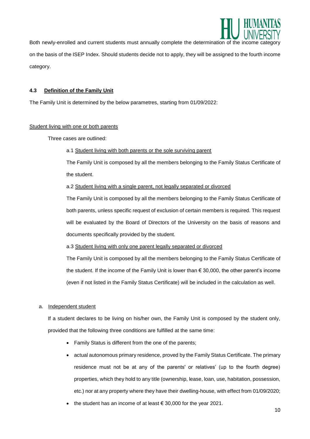

Both newly-enrolled and current students must annually complete the determination of the income on the basis of the ISEP Index. Should students decide not to apply, they will be assigned to the fourth income category.

#### **4.3 Definition of the Family Unit**

The Family Unit is determined by the below parametres, starting from 01/09/2022:

#### Student living with one or both parents

Three cases are outlined:

#### a.1 Student living with both parents or the sole surviving parent

The Family Unit is composed by all the members belonging to the Family Status Certificate of the student.

#### a.2 Student living with a single parent, not legally separated or divorced

The Family Unit is composed by all the members belonging to the Family Status Certificate of both parents, unless specific request of exclusion of certain members is required. This request will be evaluated by the Board of Directors of the University on the basis of reasons and documents specifically provided by the student.

a.3 Student living with only one parent legally separated or divorced

The Family Unit is composed by all the members belonging to the Family Status Certificate of the student. If the income of the Family Unit is lower than  $\epsilon$  30,000, the other parent's income (even if not listed in the Family Status Certificate) will be included in the calculation as well.

#### a. Independent student

If a student declares to be living on his/her own, the Family Unit is composed by the student only, provided that the following three conditions are fulfilled at the same time:

- Family Status is different from the one of the parents;
- actual autonomous primary residence, proved by the Family Status Certificate. The primary residence must not be at any of the parents' or relatives' (up to the fourth degree) properties, which they hold to any title (ownership, lease, loan, use, habitation, possession, etc.) nor at any property where they have their dwelling-house, with effect from 01/09/2020;
- the student has an income of at least  $\epsilon$  30,000 for the year 2021.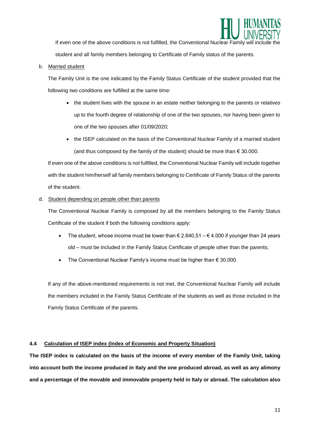

If even one of the above conditions is not fulfilled, the Conventional Nuclear Family will student and all family members belonging to Certificate of Family status of the parents.

#### b. Married student

The Family Unit is the one indicated by the Family Status Certificate of the student provided that the following two conditions are fulfilled at the same time:

- the student lives with the spouse in an estate neither belonging to the parents or relatives up to the fourth degree of relationship of one of the two spouses, nor having been given to one of the two spouses after 01/09/2020;
- the ISEP calculated on the basis of the Conventional Nuclear Family of a married student (and thus composed by the family of the student) should be more than  $\epsilon$  30.000.

If even one of the above conditions is not fulfilled, the Conventional Nuclear Family will include together with the student him/herself all family members belonging to Certificate of Family Status of the parents of the student.

#### d. Student depending on people other than parents

The Conventional Nuclear Family is composed by all the members belonging to the Family Status Certificate of the student if both the following conditions apply:

- The student, whose income must be lower than  $\epsilon$  2.840,51  $\epsilon$  4.000 if younger than 24 years old – must be included in the Family Status Certificate of people other than the parents;
- The Conventional Nuclear Family's income must be higher than € 30.000.

If any of the above-mentioned requirements is not met, the Conventional Nuclear Family will include the members included in the Family Status Certificate of the students as well as those included in the Family Status Certificate of the parents.

#### **4.4 Calculation of ISEP index (Index of Economic and Property Situation)**

**The ISEP index is calculated on the basis of the income of every member of the Family Unit, taking into account both the income produced in Italy and the one produced abroad, as well as any alimony and a percentage of the movable and immovable property held in Italy or abroad. The calculation also**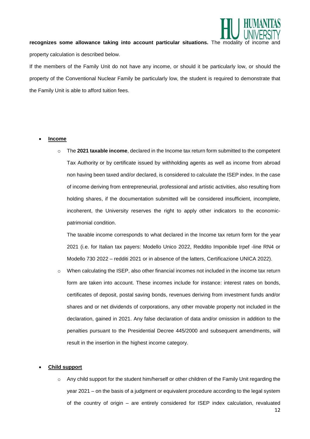

recognizes some allowance taking into account particular situations. The modality of income property calculation is described below.

If the members of the Family Unit do not have any income, or should it be particularly low, or should the property of the Conventional Nuclear Family be particularly low, the student is required to demonstrate that the Family Unit is able to afford tuition fees.

#### **Income**

o The **2021 taxable income**, declared in the Income tax return form submitted to the competent Tax Authority or by certificate issued by withholding agents as well as income from abroad non having been taxed and/or declared, is considered to calculate the ISEP index. In the case of income deriving from entrepreneurial, professional and artistic activities, also resulting from holding shares, if the documentation submitted will be considered insufficient, incomplete, incoherent, the University reserves the right to apply other indicators to the economicpatrimonial condition.

The taxable income corresponds to what declared in the Income tax return form for the year 2021 (i.e. for Italian tax payers: Modello Unico 2022, Reddito Imponibile Irpef -line RN4 or Modello 730 2022 – redditi 2021 or in absence of the latters, Certificazione UNICA 2022).

 $\circ$  When calculating the ISEP, also other financial incomes not included in the income tax return form are taken into account. These incomes include for instance: interest rates on bonds, certificates of deposit, postal saving bonds, revenues deriving from investment funds and/or shares and or net dividends of corporations, any other movable property not included in the declaration, gained in 2021. Any false declaration of data and/or omission in addition to the penalties pursuant to the Presidential Decree 445/2000 and subsequent amendments, will result in the insertion in the highest income category.

#### **Child support**

o Any child support for the student him/herself or other children of the Family Unit regarding the year 2021 – on the basis of a judgment or equivalent procedure according to the legal system of the country of origin – are entirely considered for ISEP index calculation, revaluated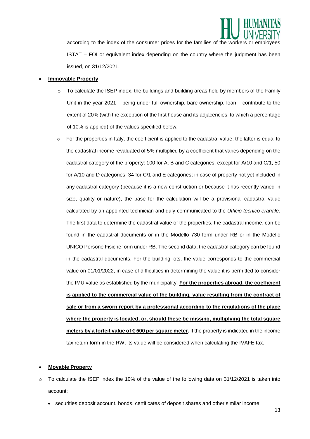

according to the index of the consumer prices for the families of the workers or emplo ISTAT – FOI or equivalent index depending on the country where the judgment has been issued, on 31/12/2021.

#### **Immovable Property**

- $\circ$  To calculate the ISEP index, the buildings and building areas held by members of the Family Unit in the year 2021 – being under full ownership, bare ownership, loan – contribute to the extent of 20% (with the exception of the first house and its adjacencies, to which a percentage of 10% is applied) of the values specified below.
- $\circ$  For the properties in Italy, the coefficient is applied to the cadastral value: the latter is equal to the cadastral income revaluated of 5% multiplied by a coefficient that varies depending on the cadastral category of the property: 100 for A, B and C categories, except for A/10 and C/1, 50 for A/10 and D categories, 34 for C/1 and E categories; in case of property not yet included in any cadastral category (because it is a new construction or because it has recently varied in size, quality or nature), the base for the calculation will be a provisional cadastral value calculated by an appointed technician and duly communicated to the *Ufficio tecnico erariale*. The first data to determine the cadastral value of the properties, the cadastral income, can be found in the cadastral documents or in the Modello 730 form under RB or in the Modello UNICO Persone Fisiche form under RB. The second data, the cadastral category can be found in the cadastral documents. For the building lots, the value corresponds to the commercial value on 01/01/2022, in case of difficulties in determining the value it is permitted to consider the IMU value as established by the municipality. **For the properties abroad, the coefficient is applied to the commercial value of the building, value resulting from the contract of sale or from a sworn report by a professional according to the regulations of the place where the property is located, or, should these be missing, multiplying the total square meters by a forfeit value of € 500 per square meter.** If the property is indicated in the income tax return form in the RW, its value will be considered when calculating the IVAFE tax.

#### **Movable Property**

- o To calculate the ISEP index the 10% of the value of the following data on 31/12/2021 is taken into account:
	- securities deposit account, bonds, certificates of deposit shares and other similar income;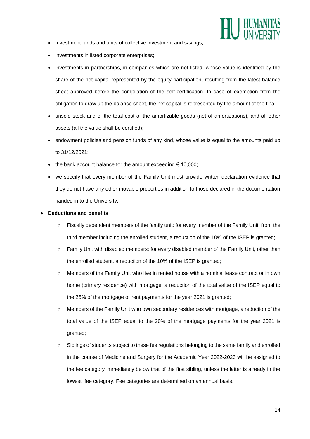

- Investment funds and units of collective investment and savings;
- investments in listed corporate enterprises;
- investments in partnerships, in companies which are not listed, whose value is identified by the share of the net capital represented by the equity participation, resulting from the latest balance sheet approved before the compilation of the self-certification. In case of exemption from the obligation to draw up the balance sheet, the net capital is represented by the amount of the final
- unsold stock and of the total cost of the amortizable goods (net of amortizations), and all other assets (all the value shall be certified);
- endowment policies and pension funds of any kind, whose value is equal to the amounts paid up to 31/12/2021;
- the bank account balance for the amount exceeding  $\epsilon$  10,000;
- we specify that every member of the Family Unit must provide written declaration evidence that they do not have any other movable properties in addition to those declared in the documentation handed in to the University.

#### **Deductions and benefits**

- $\circ$  Fiscally dependent members of the family unit: for every member of the Family Unit, from the third member including the enrolled student, a reduction of the 10% of the ISEP is granted;
- $\circ$  Family Unit with disabled members: for every disabled member of the Family Unit, other than the enrolled student, a reduction of the 10% of the ISEP is granted;
- o Members of the Family Unit who live in rented house with a nominal lease contract or in own home (primary residence) with mortgage, a reduction of the total value of the ISEP equal to the 25% of the mortgage or rent payments for the year 2021 is granted;
- o Members of the Family Unit who own secondary residences with mortgage, a reduction of the total value of the ISEP equal to the 20% of the mortgage payments for the year 2021 is granted;
- $\circ$  Siblings of students subject to these fee regulations belonging to the same family and enrolled in the course of Medicine and Surgery for the Academic Year 2022-2023 will be assigned to the fee category immediately below that of the first sibling, unless the latter is already in the lowest fee category. Fee categories are determined on an annual basis.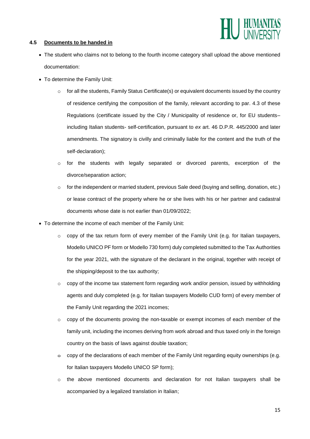

#### **4.5 Documents to be handed in**

- The student who claims not to belong to the fourth income category shall upload the above mentioned documentation:
- To determine the Family Unit:
	- $\circ$  for all the students, Family Status Certificate(s) or equivalent documents issued by the country of residence certifying the composition of the family, relevant according to par. 4.3 of these Regulations (certificate issued by the City / Municipality of residence or, for EU students– including Italian students- self-certification, pursuant to *ex* art. 46 D.P.R. 445/2000 and later amendments. The signatory is civilly and criminally liable for the content and the truth of the self-declaration);
	- $\circ$  for the students with legally separated or divorced parents, excerption of the divorce/separation action;
	- $\circ$  for the independent or married student, previous Sale deed (buying and selling, donation, etc.) or lease contract of the property where he or she lives with his or her partner and cadastral documents whose date is not earlier than 01/09/2022;
- To determine the income of each member of the Family Unit:
	- $\circ$  copy of the tax return form of every member of the Family Unit (e.g. for Italian taxpayers, Modello UNICO PF form or Modello 730 form) duly completed submitted to the Tax Authorities for the year 2021, with the signature of the declarant in the original, together with receipt of the shipping/deposit to the tax authority;
	- $\circ$  copy of the income tax statement form regarding work and/or pension, issued by withholding agents and duly completed (e.g. for Italian taxpayers Modello CUD form) of every member of the Family Unit regarding the 2021 incomes;
	- $\circ$  copy of the documents proving the non-taxable or exempt incomes of each member of the family unit, including the incomes deriving from work abroad and thus taxed only in the foreign country on the basis of laws against double taxation;
	- $\div$  copy of the declarations of each member of the Family Unit regarding equity ownerships (e.g. for Italian taxpayers Modello UNICO SP form);
	- o the above mentioned documents and declaration for not Italian taxpayers shall be accompanied by a legalized translation in Italian;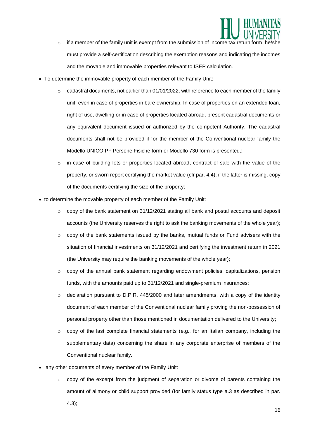

- $\circ$  if a member of the family unit is exempt from the submission of Income tax return form must provide a self-certification describing the exemption reasons and indicating the incomes and the movable and immovable properties relevant to ISEP calculation.
- To determine the immovable property of each member of the Family Unit:
	- $\circ$  cadastral documents, not earlier than 01/01/2022, with reference to each member of the family unit, even in case of properties in bare ownership. In case of properties on an extended loan, right of use, dwelling or in case of properties located abroad, present cadastral documents or any equivalent document issued or authorized by the competent Authority. The cadastral documents shall not be provided if for the member of the Conventional nuclear family the Modello UNICO PF Persone Fisiche form or Modello 730 form is presented,;
	- $\circ$  in case of building lots or properties located abroad, contract of sale with the value of the property, or sworn report certifying the market value (cfr par. 4.4); if the latter is missing, copy of the documents certifying the size of the property;
- to determine the movable property of each member of the Family Unit:
	- $\circ$  copy of the bank statement on 31/12/2021 stating all bank and postal accounts and deposit accounts (the University reserves the right to ask the banking movements of the whole year);
	- $\circ$  copy of the bank statements issued by the banks, mutual funds or Fund advisers with the situation of financial investments on 31/12/2021 and certifying the investment return in 2021 (the University may require the banking movements of the whole year);
	- $\circ$  copy of the annual bank statement regarding endowment policies, capitalizations, pension funds, with the amounts paid up to 31/12/2021 and single-premium insurances;
	- $\circ$  declaration pursuant to D.P.R. 445/2000 and later amendments, with a copy of the identity document of each member of the Conventional nuclear family proving the non-possession of personal property other than those mentioned in documentation delivered to the University;
	- $\circ$  copy of the last complete financial statements (e.g., for an Italian company, including the supplementary data) concerning the share in any corporate enterprise of members of the Conventional nuclear family.
- any other documents of every member of the Family Unit:
	- o copy of the excerpt from the judgment of separation or divorce of parents containing the amount of alimony or child support provided (for family status type a.3 as described in par. 4.3);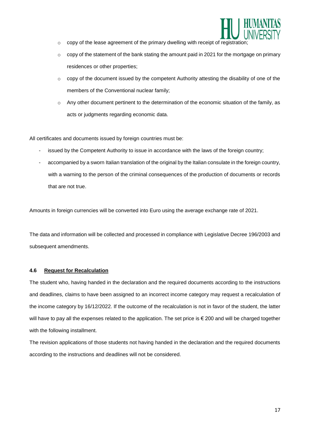

- o copy of the lease agreement of the primary dwelling with receipt of registration;
- $\circ$  copy of the statement of the bank stating the amount paid in 2021 for the mortgage on primary residences or other properties;
- $\circ$  copy of the document issued by the competent Authority attesting the disability of one of the members of the Conventional nuclear family;
- $\circ$  Any other document pertinent to the determination of the economic situation of the family, as acts or judgments regarding economic data.

All certificates and documents issued by foreign countries must be:

- issued by the Competent Authority to issue in accordance with the laws of the foreign country;
- accompanied by a sworn Italian translation of the original by the Italian consulate in the foreign country, with a warning to the person of the criminal consequences of the production of documents or records that are not true.

Amounts in foreign currencies will be converted into Euro using the average exchange rate of 2021.

The data and information will be collected and processed in compliance with Legislative Decree 196/2003 and subsequent amendments.

#### **4.6 Request for Recalculation**

The student who, having handed in the declaration and the required documents according to the instructions and deadlines, claims to have been assigned to an incorrect income category may request a recalculation of the income category by 16/12/2022. If the outcome of the recalculation is not in favor of the student, the latter will have to pay all the expenses related to the application. The set price is € 200 and will be charged together with the following installment.

The revision applications of those students not having handed in the declaration and the required documents according to the instructions and deadlines will not be considered.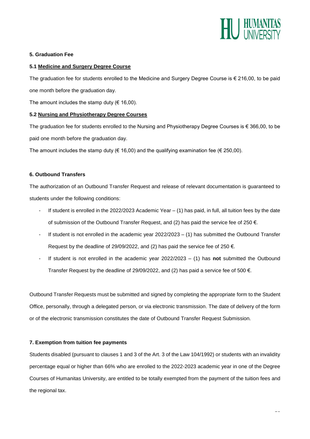

#### **5. Graduation Fee**

#### **5.1 Medicine and Surgery Degree Course**

The graduation fee for students enrolled to the Medicine and Surgery Degree Course is € 216,00, to be paid one month before the graduation day.

The amount includes the stamp duty ( $\epsilon$  16,00).

#### **5.2 Nursing and Physiotherapy Degree Courses**

The graduation fee for students enrolled to the Nursing and Physiotherapy Degree Courses is  $\epsilon$  366,00, to be paid one month before the graduation day.

The amount includes the stamp duty ( $\epsilon$  16,00) and the qualifying examination fee ( $\epsilon$  250,00).

#### **6. Outbound Transfers**

The authorization of an Outbound Transfer Request and release of relevant documentation is guaranteed to students under the following conditions:

- If student is enrolled in the 2022/2023 Academic Year  $-$  (1) has paid, in full, all tuition fees by the date of submission of the Outbound Transfer Request, and (2) has paid the service fee of 250  $\epsilon$ .
- If student is not enrolled in the academic year  $2022/2023 (1)$  has submitted the Outbound Transfer Request by the deadline of 29/09/2022, and (2) has paid the service fee of 250  $\epsilon$ .
- If student is not enrolled in the academic year 2022/2023 (1) has **not** submitted the Outbound Transfer Request by the deadline of 29/09/2022, and (2) has paid a service fee of 500  $\epsilon$ .

Outbound Transfer Requests must be submitted and signed by completing the appropriate form to the Student Office, personally, through a delegated person, or via electronic transmission. The date of delivery of the form or of the electronic transmission constitutes the date of Outbound Transfer Request Submission.

#### **7. Exemption from tuition fee payments**

Students disabled (pursuant to clauses 1 and 3 of the Art. 3 of the Law 104/1992) or students with an invalidity percentage equal or higher than 66% who are enrolled to the 2022-2023 academic year in one of the Degree Courses of Humanitas University, are entitled to be totally exempted from the payment of the tuition fees and the regional tax.